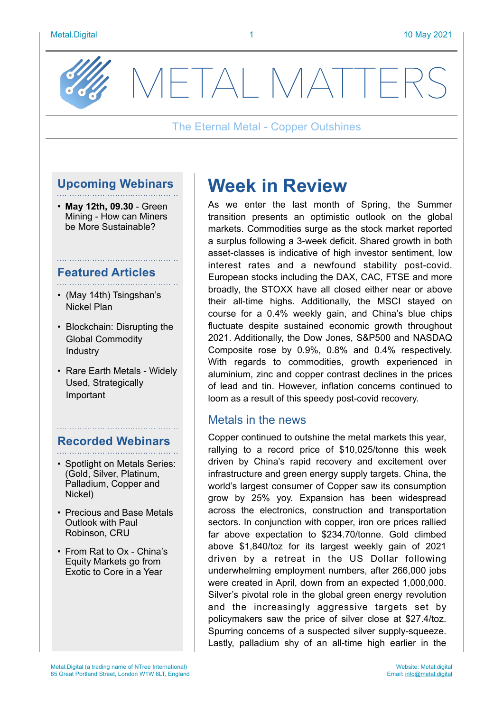

METAL MATTF

### The Eternal Metal - Copper Outshines

# **Upcoming Webinars**

• **May 12th, 09.30** - Green Mining - How can Miners be More Sustainable?

#### **Featured Articles**

- (May 14th) Tsingshan's Nickel Plan
- Blockchain: Disrupting the Global Commodity Industry
- Rare Earth Metals Widely Used, Strategically Important

# **Recorded Webinars**

- Spotlight on Metals Series: (Gold, Silver, Platinum, Palladium, Copper and Nickel)
- Precious and Base Metals Outlook with Paul Robinson, CRU
- From Rat to Ox China's Equity Markets go from Exotic to Core in a Year

# **Week in Review**

As we enter the last month of Spring, the Summer transition presents an optimistic outlook on the global markets. Commodities surge as the stock market reported a surplus following a 3-week deficit. Shared growth in both asset-classes is indicative of high investor sentiment, low interest rates and a newfound stability post-covid. European stocks including the DAX, CAC, FTSE and more broadly, the STOXX have all closed either near or above their all-time highs. Additionally, the MSCI stayed on course for a 0.4% weekly gain, and China's blue chips fluctuate despite sustained economic growth throughout 2021. Additionally, the Dow Jones, S&P500 and NASDAQ Composite rose by 0.9%, 0.8% and 0.4% respectively. With regards to commodities, growth experienced in aluminium, zinc and copper contrast declines in the prices of lead and tin. However, inflation concerns continued to loom as a result of this speedy post-covid recovery.

### Metals in the news

Copper continued to outshine the metal markets this year, rallying to a record price of \$10,025/tonne this week driven by China's rapid recovery and excitement over infrastructure and green energy supply targets. China, the world's largest consumer of Copper saw its consumption grow by 25% yoy. Expansion has been widespread across the electronics, construction and transportation sectors. In conjunction with copper, iron ore prices rallied far above expectation to \$234.70/tonne. Gold climbed above \$1,840/toz for its largest weekly gain of 2021 driven by a retreat in the US Dollar following underwhelming employment numbers, after 266,000 jobs were created in April, down from an expected 1,000,000. Silver's pivotal role in the global green energy revolution and the increasingly aggressive targets set by policymakers saw the price of silver close at \$27.4/toz. Spurring concerns of a suspected silver supply-squeeze. Lastly, palladium shy of an all-time high earlier in the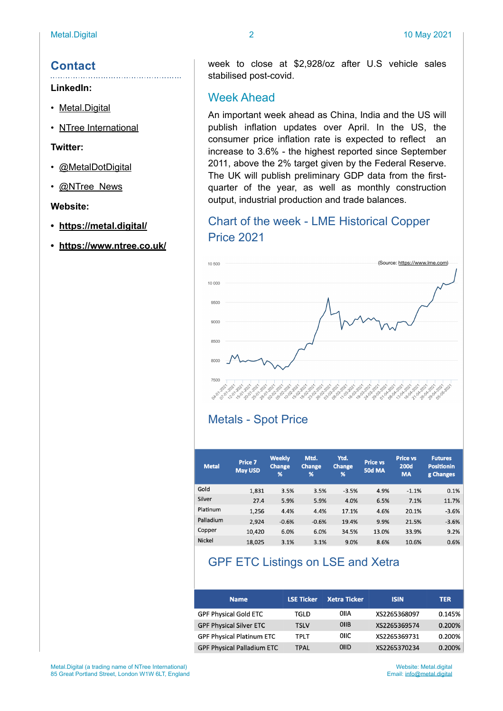# **Contact**

#### **LinkedIn:**

- [Metal.Digital](https://www.linkedin.com/company/metal-digital/)
- [NTree International](https://www.linkedin.com/company/11155595/)

**Twitter:**

- [@MetalDotDigital](https://twitter.com/MetaldotDigital)
- [@NTree\\_News](https://twitter.com/ntree_news)

#### **Website:**

- **• <https://metal.digital/>**
- **• <https://www.ntree.co.uk/>**

week to close at \$2,928/oz after U.S vehicle sales stabilised post-covid.

### Week Ahead

An important week ahead as China, India and the US will publish inflation updates over April. In the US, the consumer price inflation rate is expected to reflect an increase to 3.6% - the highest reported since September 2011, above the 2% target given by the Federal Reserve. The UK will publish preliminary GDP data from the firstquarter of the year, as well as monthly construction output, industrial production and trade balances.

# Chart of the week - LME Historical Copper Price 2021



### Metals - Spot Price

| <b>Metal</b>  | Price 7<br><b>May USD</b> | <b>Weekly</b><br><b>Change</b><br>% | Mtd.<br><b>Change</b><br>% | Ytd.<br><b>Change</b><br>% | <b>Price vs</b><br><b>50d MA</b> | <b>Price vs</b><br><b>200d</b><br><b>MA</b> | <b>Futures</b><br><b>Positionin</b><br>g Changes |
|---------------|---------------------------|-------------------------------------|----------------------------|----------------------------|----------------------------------|---------------------------------------------|--------------------------------------------------|
| Gold          | 1,831                     | 3.5%                                | 3.5%                       | $-3.5%$                    | 4.9%                             | $-1.1%$                                     | 0.1%                                             |
| Silver        | 27.4                      | 5.9%                                | 5.9%                       | 4.0%                       | 6.5%                             | 7.1%                                        | 11.7%                                            |
| Platinum      | 1,256                     | 4.4%                                | 4.4%                       | 17.1%                      | 4.6%                             | 20.1%                                       | $-3.6%$                                          |
| Palladium     | 2,924                     | $-0.6%$                             | $-0.6%$                    | 19.4%                      | 9.9%                             | 21.5%                                       | $-3.6%$                                          |
| Copper        | 10,420                    | 6.0%                                | 6.0%                       | 34.5%                      | 13.0%                            | 33.9%                                       | 9.2%                                             |
| <b>Nickel</b> | 18.025                    | 3.1%                                | 3.1%                       | 9.0%                       | 8.6%                             | 10.6%                                       | 0.6%                                             |

# GPF ETC Listings on LSE and Xetra

| <b>Name</b>                       | <b>LSE Ticker</b> | <b>Xetra Ticker</b> | <b>ISIN</b>  | <b>TER</b> |
|-----------------------------------|-------------------|---------------------|--------------|------------|
| <b>GPF Physical Gold ETC</b>      | TGLD              | OIIA                | XS2265368097 | 0.145%     |
| <b>GPF Physical Silver ETC</b>    | <b>TSLV</b>       | <b>OIIB</b>         | XS2265369574 | 0.200%     |
| <b>GPF Physical Platinum ETC</b>  | TPLT              | <b>OIIC</b>         | XS2265369731 | 0.200%     |
| <b>GPF Physical Palladium ETC</b> | TPAL              | <b>OIID</b>         | XS2265370234 | 0.200%     |